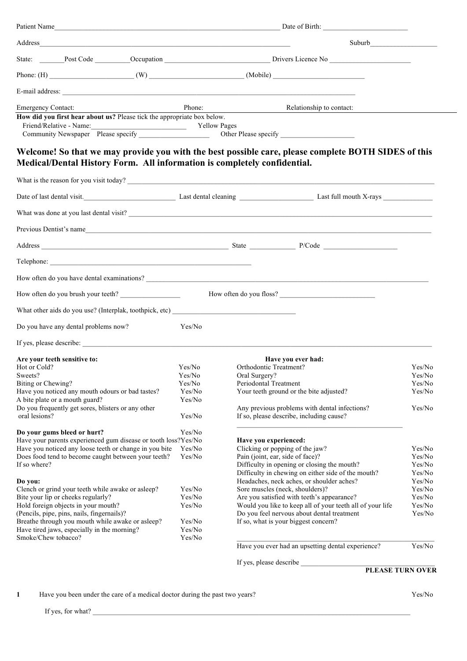|                                                                                                                                                                                                                                                                                                                                                                                                                                                                                                                                                                                                                                                                                                                                                                                                        | Patient Name     |                                                                                                     |                                                                                        |  |  |  |
|--------------------------------------------------------------------------------------------------------------------------------------------------------------------------------------------------------------------------------------------------------------------------------------------------------------------------------------------------------------------------------------------------------------------------------------------------------------------------------------------------------------------------------------------------------------------------------------------------------------------------------------------------------------------------------------------------------------------------------------------------------------------------------------------------------|------------------|-----------------------------------------------------------------------------------------------------|----------------------------------------------------------------------------------------|--|--|--|
|                                                                                                                                                                                                                                                                                                                                                                                                                                                                                                                                                                                                                                                                                                                                                                                                        |                  |                                                                                                     |                                                                                        |  |  |  |
|                                                                                                                                                                                                                                                                                                                                                                                                                                                                                                                                                                                                                                                                                                                                                                                                        |                  |                                                                                                     |                                                                                        |  |  |  |
|                                                                                                                                                                                                                                                                                                                                                                                                                                                                                                                                                                                                                                                                                                                                                                                                        |                  |                                                                                                     |                                                                                        |  |  |  |
|                                                                                                                                                                                                                                                                                                                                                                                                                                                                                                                                                                                                                                                                                                                                                                                                        |                  |                                                                                                     |                                                                                        |  |  |  |
| <b>Emergency Contact:</b><br>How did you first hear about us? Please tick the appropriate box below.<br>Friend/Relative - Name: Vellow Pages                                                                                                                                                                                                                                                                                                                                                                                                                                                                                                                                                                                                                                                           | Phone:           | Relationship to contact:                                                                            |                                                                                        |  |  |  |
| Medical/Dental History Form. All information is completely confidential.                                                                                                                                                                                                                                                                                                                                                                                                                                                                                                                                                                                                                                                                                                                               |                  | Welcome! So that we may provide you with the best possible care, please complete BOTH SIDES of this |                                                                                        |  |  |  |
|                                                                                                                                                                                                                                                                                                                                                                                                                                                                                                                                                                                                                                                                                                                                                                                                        |                  |                                                                                                     |                                                                                        |  |  |  |
|                                                                                                                                                                                                                                                                                                                                                                                                                                                                                                                                                                                                                                                                                                                                                                                                        |                  | Date of last dental visit. Last full mouth X-rays Last full mouth X-rays                            |                                                                                        |  |  |  |
|                                                                                                                                                                                                                                                                                                                                                                                                                                                                                                                                                                                                                                                                                                                                                                                                        |                  |                                                                                                     |                                                                                        |  |  |  |
|                                                                                                                                                                                                                                                                                                                                                                                                                                                                                                                                                                                                                                                                                                                                                                                                        |                  | Previous Dentist's name                                                                             |                                                                                        |  |  |  |
|                                                                                                                                                                                                                                                                                                                                                                                                                                                                                                                                                                                                                                                                                                                                                                                                        |                  |                                                                                                     |                                                                                        |  |  |  |
|                                                                                                                                                                                                                                                                                                                                                                                                                                                                                                                                                                                                                                                                                                                                                                                                        |                  |                                                                                                     |                                                                                        |  |  |  |
|                                                                                                                                                                                                                                                                                                                                                                                                                                                                                                                                                                                                                                                                                                                                                                                                        |                  |                                                                                                     |                                                                                        |  |  |  |
| How often do you brush your teeth?                                                                                                                                                                                                                                                                                                                                                                                                                                                                                                                                                                                                                                                                                                                                                                     |                  |                                                                                                     |                                                                                        |  |  |  |
|                                                                                                                                                                                                                                                                                                                                                                                                                                                                                                                                                                                                                                                                                                                                                                                                        |                  |                                                                                                     |                                                                                        |  |  |  |
| Do you have any dental problems now?                                                                                                                                                                                                                                                                                                                                                                                                                                                                                                                                                                                                                                                                                                                                                                   | Yes/No           |                                                                                                     |                                                                                        |  |  |  |
|                                                                                                                                                                                                                                                                                                                                                                                                                                                                                                                                                                                                                                                                                                                                                                                                        |                  |                                                                                                     |                                                                                        |  |  |  |
|                                                                                                                                                                                                                                                                                                                                                                                                                                                                                                                                                                                                                                                                                                                                                                                                        |                  |                                                                                                     |                                                                                        |  |  |  |
|                                                                                                                                                                                                                                                                                                                                                                                                                                                                                                                                                                                                                                                                                                                                                                                                        |                  | Have you ever had:                                                                                  |                                                                                        |  |  |  |
|                                                                                                                                                                                                                                                                                                                                                                                                                                                                                                                                                                                                                                                                                                                                                                                                        | Yes/No           | Orthodontic Treatment?                                                                              | Yes/No                                                                                 |  |  |  |
|                                                                                                                                                                                                                                                                                                                                                                                                                                                                                                                                                                                                                                                                                                                                                                                                        | Yes/No           | Oral Surgery?                                                                                       | Yes/No                                                                                 |  |  |  |
|                                                                                                                                                                                                                                                                                                                                                                                                                                                                                                                                                                                                                                                                                                                                                                                                        | Yes/No           | Periodontal Treatment                                                                               | Yes/No                                                                                 |  |  |  |
|                                                                                                                                                                                                                                                                                                                                                                                                                                                                                                                                                                                                                                                                                                                                                                                                        | Yes/No<br>Yes/No | Your teeth ground or the bite adjusted?                                                             | Yes/No                                                                                 |  |  |  |
|                                                                                                                                                                                                                                                                                                                                                                                                                                                                                                                                                                                                                                                                                                                                                                                                        |                  | Any previous problems with dental infections?                                                       | Yes/No                                                                                 |  |  |  |
|                                                                                                                                                                                                                                                                                                                                                                                                                                                                                                                                                                                                                                                                                                                                                                                                        | Yes/No           | If so, please describe, including cause?                                                            |                                                                                        |  |  |  |
|                                                                                                                                                                                                                                                                                                                                                                                                                                                                                                                                                                                                                                                                                                                                                                                                        |                  |                                                                                                     |                                                                                        |  |  |  |
|                                                                                                                                                                                                                                                                                                                                                                                                                                                                                                                                                                                                                                                                                                                                                                                                        | Yes/No           |                                                                                                     |                                                                                        |  |  |  |
|                                                                                                                                                                                                                                                                                                                                                                                                                                                                                                                                                                                                                                                                                                                                                                                                        |                  | Have you experienced:                                                                               |                                                                                        |  |  |  |
|                                                                                                                                                                                                                                                                                                                                                                                                                                                                                                                                                                                                                                                                                                                                                                                                        | Yes/No<br>Yes/No | Clicking or popping of the jaw?<br>Pain (joint, ear, side of face)?                                 |                                                                                        |  |  |  |
|                                                                                                                                                                                                                                                                                                                                                                                                                                                                                                                                                                                                                                                                                                                                                                                                        |                  | Difficulty in opening or closing the mouth?                                                         |                                                                                        |  |  |  |
|                                                                                                                                                                                                                                                                                                                                                                                                                                                                                                                                                                                                                                                                                                                                                                                                        |                  | Difficulty in chewing on either side of the mouth?                                                  |                                                                                        |  |  |  |
|                                                                                                                                                                                                                                                                                                                                                                                                                                                                                                                                                                                                                                                                                                                                                                                                        |                  | Headaches, neck aches, or shoulder aches?                                                           |                                                                                        |  |  |  |
|                                                                                                                                                                                                                                                                                                                                                                                                                                                                                                                                                                                                                                                                                                                                                                                                        | Yes/No           | Sore muscles (neck, shoulders)?                                                                     |                                                                                        |  |  |  |
|                                                                                                                                                                                                                                                                                                                                                                                                                                                                                                                                                                                                                                                                                                                                                                                                        | Yes/No           | Are you satisfied with teeth's appearance?                                                          |                                                                                        |  |  |  |
|                                                                                                                                                                                                                                                                                                                                                                                                                                                                                                                                                                                                                                                                                                                                                                                                        | Yes/No           | Would you like to keep all of your teeth all of your life                                           |                                                                                        |  |  |  |
|                                                                                                                                                                                                                                                                                                                                                                                                                                                                                                                                                                                                                                                                                                                                                                                                        | Yes/No           | Do you feel nervous about dental treatment<br>If so, what is your biggest concern?                  |                                                                                        |  |  |  |
| If yes, please describe:<br>Are your teeth sensitive to:<br>Hot or Cold?<br>Sweets?<br>Biting or Chewing?<br>Have you noticed any mouth odours or bad tastes?<br>A bite plate or a mouth guard?<br>Do you frequently get sores, blisters or any other<br>oral lesions?<br>Do your gums bleed or hurt?<br>Have your parents experienced gum disease or tooth loss?Yes/No<br>Have you noticed any loose teeth or change in you bite<br>Does food tend to become caught between your teeth?<br>If so where?<br>Do you:<br>Clench or grind your teeth while awake or asleep?<br>Bite your lip or cheeks regularly?<br>Hold foreign objects in your mouth?<br>(Pencils, pipe, pins, nails, fingernails)?<br>Breathe through you mouth while awake or asleep?<br>Have tired jaws, especially in the morning? | Yes/No           |                                                                                                     |                                                                                        |  |  |  |
| Smoke/Chew tobacco?                                                                                                                                                                                                                                                                                                                                                                                                                                                                                                                                                                                                                                                                                                                                                                                    | Yes/No           |                                                                                                     | Yes/No<br>Yes/No<br>Yes/No<br>Yes/No<br>Yes/No<br>Yes/No<br>Yes/No<br>Yes/No<br>Yes/No |  |  |  |
|                                                                                                                                                                                                                                                                                                                                                                                                                                                                                                                                                                                                                                                                                                                                                                                                        |                  | Have you ever had an upsetting dental experience?                                                   | Yes/No                                                                                 |  |  |  |

**1** Have you been under the care of a medical doctor during the past two years? Yes/No

If yes, for what?